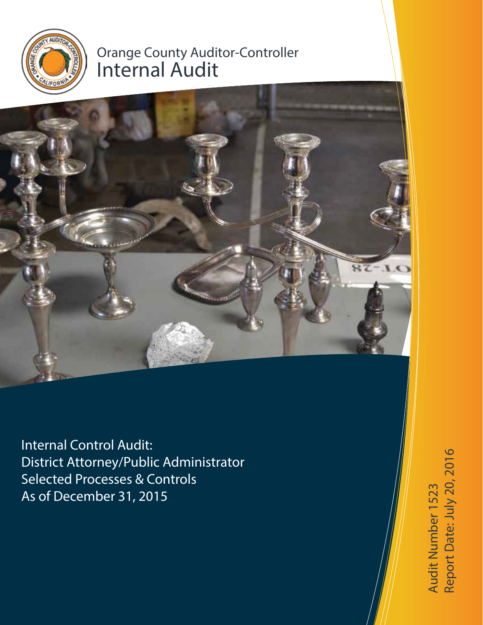

# Orange County Auditor-Controller Internal Audit



Internal Control Audit: District Attorney/Public Administrator Selected Processes & Controls As of December 31, 2015

Audit Number 1523<br>Report Date: July 20, 2016 Report Date: July 20, 2016Audit Number 1523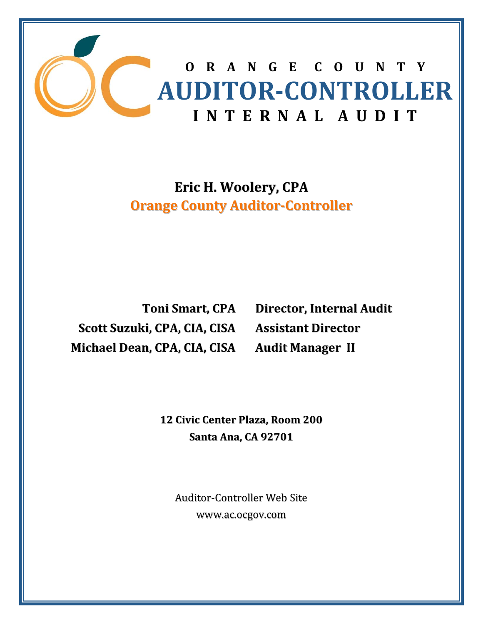![](_page_1_Picture_0.jpeg)

# **Eric H. Woolery, CPA Orange County Auditor‐Controller**

**Toni Smart, CPA Scott Suzuki, CPA, CIA, CISA Michael Dean, CPA, CIA, CISA**

**Director, Internal Audit Assistant Director Audit Manager II**

**12 Civic Center Plaza, Room 200 Santa Ana, CA 92701**

Auditor‐Controller Web Site www.ac.ocgov.com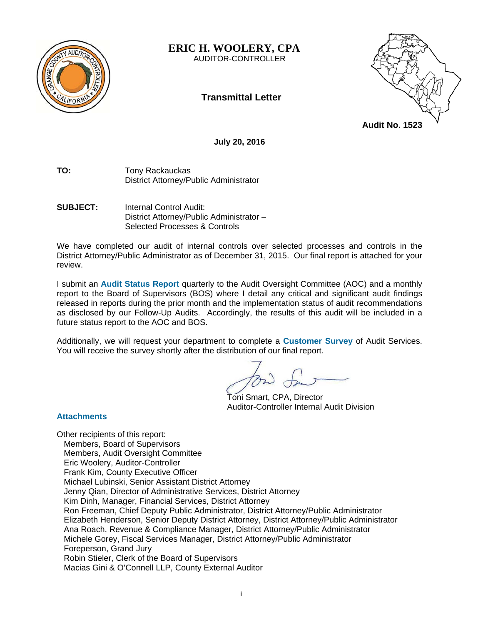![](_page_2_Picture_0.jpeg)

**ERIC H. WOOLERY, CPA** 

AUDITOR-CONTROLLER

# **Transmittal Letter**

![](_page_2_Picture_4.jpeg)

**July 20, 2016** 

- **TO:** Tony Rackauckas District Attorney/Public Administrator
- **SUBJECT:** Internal Control Audit: District Attorney/Public Administrator – Selected Processes & Controls

We have completed our audit of internal controls over selected processes and controls in the District Attorney/Public Administrator as of December 31, 2015. Our final report is attached for your review.

I submit an **Audit Status Report** quarterly to the Audit Oversight Committee (AOC) and a monthly report to the Board of Supervisors (BOS) where I detail any critical and significant audit findings released in reports during the prior month and the implementation status of audit recommendations as disclosed by our Follow-Up Audits. Accordingly, the results of this audit will be included in a future status report to the AOC and BOS.

Additionally, we will request your department to complete a **Customer Survey** of Audit Services. You will receive the survey shortly after the distribution of our final report.

 Toni Smart, CPA, Director Auditor-Controller Internal Audit Division

# **Attachments**

Other recipients of this report: Members, Board of Supervisors Members, Audit Oversight Committee Eric Woolery, Auditor-Controller Frank Kim, County Executive Officer Michael Lubinski, Senior Assistant District Attorney Jenny Qian, Director of Administrative Services, District Attorney Kim Dinh, Manager, Financial Services, District Attorney Ron Freeman, Chief Deputy Public Administrator, District Attorney/Public Administrator Elizabeth Henderson, Senior Deputy District Attorney, District Attorney/Public Administrator Ana Roach, Revenue & Compliance Manager, District Attorney/Public Administrator Michele Gorey, Fiscal Services Manager, District Attorney/Public Administrator Foreperson, Grand Jury Robin Stieler, Clerk of the Board of Supervisors Macias Gini & O'Connell LLP, County External Auditor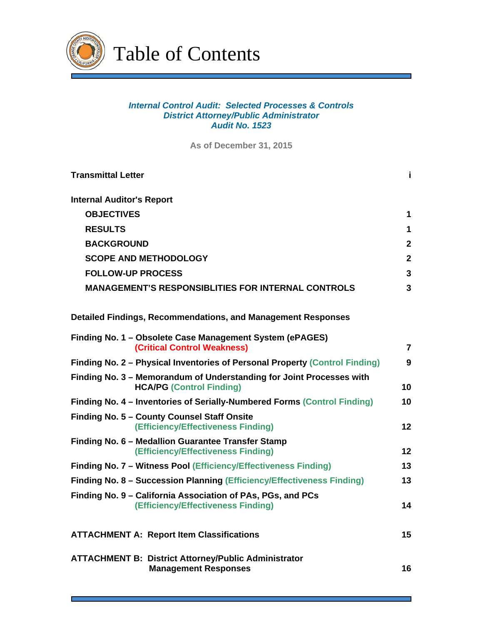![](_page_3_Picture_0.jpeg)

Table of Contents

# *Internal Control Audit: Selected Processes & Controls District Attorney/Public Administrator Audit No. 1523*

**As of December 31, 2015**

| <b>Transmittal Letter</b>                                                                               | j.             |  |  |
|---------------------------------------------------------------------------------------------------------|----------------|--|--|
| <b>Internal Auditor's Report</b>                                                                        |                |  |  |
| <b>OBJECTIVES</b>                                                                                       | 1              |  |  |
| <b>RESULTS</b>                                                                                          | 1              |  |  |
| <b>BACKGROUND</b>                                                                                       | $\mathbf{2}$   |  |  |
| <b>SCOPE AND METHODOLOGY</b>                                                                            | $\mathbf{2}$   |  |  |
| <b>FOLLOW-UP PROCESS</b>                                                                                | $\mathbf{3}$   |  |  |
| <b>MANAGEMENT'S RESPONSIBLITIES FOR INTERNAL CONTROLS</b>                                               | 3              |  |  |
| Detailed Findings, Recommendations, and Management Responses                                            |                |  |  |
| Finding No. 1 - Obsolete Case Management System (ePAGES)<br><b>(Critical Control Weakness)</b>          | $\overline{7}$ |  |  |
| Finding No. 2 – Physical Inventories of Personal Property (Control Finding)                             | 9              |  |  |
| Finding No. 3 - Memorandum of Understanding for Joint Processes with<br><b>HCA/PG (Control Finding)</b> | 10             |  |  |
| Finding No. 4 - Inventories of Serially-Numbered Forms (Control Finding)                                | 10             |  |  |
| Finding No. 5 - County Counsel Staff Onsite<br>(Efficiency/Effectiveness Finding)                       | 12             |  |  |
| Finding No. 6 - Medallion Guarantee Transfer Stamp<br>(Efficiency/Effectiveness Finding)                | 12             |  |  |
| Finding No. 7 - Witness Pool (Efficiency/Effectiveness Finding)                                         | 13             |  |  |
| Finding No. 8 - Succession Planning (Efficiency/Effectiveness Finding)                                  | 13             |  |  |
| Finding No. 9 – California Association of PAs, PGs, and PCs<br>(Efficiency/Effectiveness Finding)       | 14             |  |  |
| <b>ATTACHMENT A: Report Item Classifications</b>                                                        | 15             |  |  |
| <b>ATTACHMENT B: District Attorney/Public Administrator</b><br><b>Management Responses</b>              | 16             |  |  |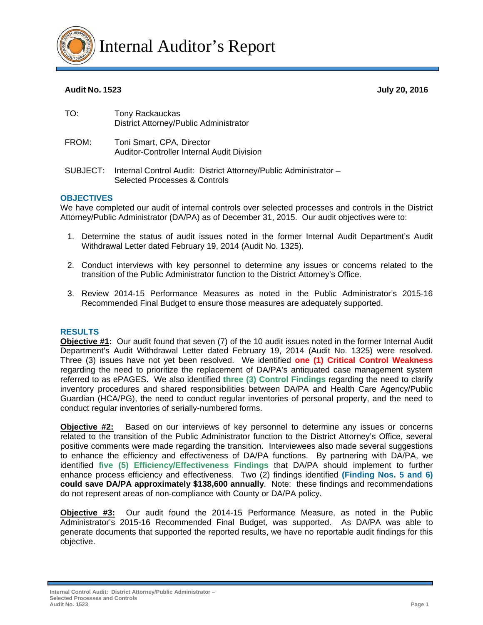![](_page_4_Picture_0.jpeg)

# **Audit No. 1523 July 20, 2016**

| TO:   | Tony Rackauckas<br>District Attorney/Public Administrator                      |  |
|-------|--------------------------------------------------------------------------------|--|
| FROM: | Toni Smart, CPA, Director<br><b>Auditor-Controller Internal Audit Division</b> |  |
|       | SUBJECT: Internal Control Audit: District Attorney/Public Administrator -      |  |

Selected Processes & Controls

#### **OBJECTIVES**

We have completed our audit of internal controls over selected processes and controls in the District Attorney/Public Administrator (DA/PA) as of December 31, 2015. Our audit objectives were to:

- 1. Determine the status of audit issues noted in the former Internal Audit Department's Audit Withdrawal Letter dated February 19, 2014 (Audit No. 1325).
- 2. Conduct interviews with key personnel to determine any issues or concerns related to the transition of the Public Administrator function to the District Attorney's Office.
- 3. Review 2014-15 Performance Measures as noted in the Public Administrator's 2015-16 Recommended Final Budget to ensure those measures are adequately supported.

# **RESULTS**

**Objective #1:** Our audit found that seven (7) of the 10 audit issues noted in the former Internal Audit Department's Audit Withdrawal Letter dated February 19, 2014 (Audit No. 1325) were resolved. Three (3) issues have not yet been resolved. We identified **one (1) Critical Control Weakness** regarding the need to prioritize the replacement of DA/PA's antiquated case management system referred to as ePAGES. We also identified **three (3) Control Findings** regarding the need to clarify inventory procedures and shared responsibilities between DA/PA and Health Care Agency/Public Guardian (HCA/PG), the need to conduct regular inventories of personal property, and the need to conduct regular inventories of serially-numbered forms.

**Objective #2:** Based on our interviews of key personnel to determine any issues or concerns related to the transition of the Public Administrator function to the District Attorney's Office, several positive comments were made regarding the transition. Interviewees also made several suggestions to enhance the efficiency and effectiveness of DA/PA functions. By partnering with DA/PA, we identified **five (5) Efficiency/Effectiveness Findings** that DA/PA should implement to further enhance process efficiency and effectiveness. Two (2) findings identified **(Finding Nos. 5 and 6) could save DA/PA approximately \$138,600 annually**. Note: these findings and recommendations do not represent areas of non-compliance with County or DA/PA policy.

**Objective #3:** Our audit found the 2014-15 Performance Measure, as noted in the Public Administrator's 2015-16 Recommended Final Budget, was supported. As DA/PA was able to generate documents that supported the reported results, we have no reportable audit findings for this objective.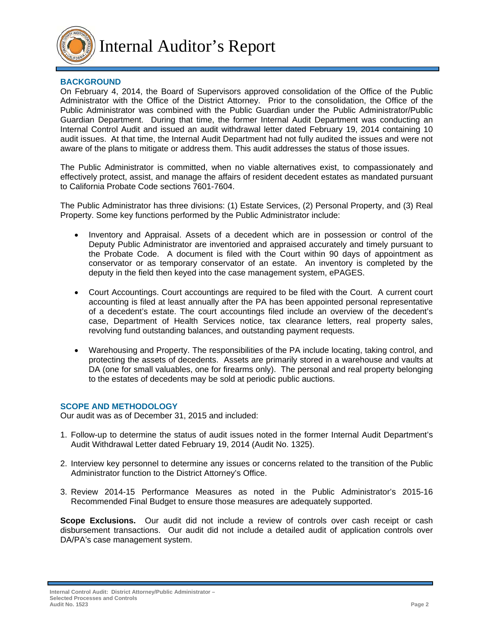![](_page_5_Picture_0.jpeg)

Internal Auditor's Report

# **BACKGROUND**

On February 4, 2014, the Board of Supervisors approved consolidation of the Office of the Public Administrator with the Office of the District Attorney. Prior to the consolidation, the Office of the Public Administrator was combined with the Public Guardian under the Public Administrator/Public Guardian Department. During that time, the former Internal Audit Department was conducting an Internal Control Audit and issued an audit withdrawal letter dated February 19, 2014 containing 10 audit issues. At that time, the Internal Audit Department had not fully audited the issues and were not aware of the plans to mitigate or address them. This audit addresses the status of those issues.

The Public Administrator is committed, when no viable alternatives exist, to compassionately and effectively protect, assist, and manage the affairs of resident decedent estates as mandated pursuant to California Probate Code sections 7601-7604.

The Public Administrator has three divisions: (1) Estate Services, (2) Personal Property, and (3) Real Property. Some key functions performed by the Public Administrator include:

- Inventory and Appraisal. Assets of a decedent which are in possession or control of the Deputy Public Administrator are inventoried and appraised accurately and timely pursuant to the Probate Code. A document is filed with the Court within 90 days of appointment as conservator or as temporary conservator of an estate. An inventory is completed by the deputy in the field then keyed into the case management system, ePAGES.
- Court Accountings. Court accountings are required to be filed with the Court. A current court accounting is filed at least annually after the PA has been appointed personal representative of a decedent's estate. The court accountings filed include an overview of the decedent's case, Department of Health Services notice, tax clearance letters, real property sales, revolving fund outstanding balances, and outstanding payment requests.
- Warehousing and Property. The responsibilities of the PA include locating, taking control, and protecting the assets of decedents. Assets are primarily stored in a warehouse and vaults at DA (one for small valuables, one for firearms only). The personal and real property belonging to the estates of decedents may be sold at periodic public auctions.

# **SCOPE AND METHODOLOGY**

Our audit was as of December 31, 2015 and included:

- 1. Follow-up to determine the status of audit issues noted in the former Internal Audit Department's Audit Withdrawal Letter dated February 19, 2014 (Audit No. 1325).
- 2. Interview key personnel to determine any issues or concerns related to the transition of the Public Administrator function to the District Attorney's Office.
- 3. Review 2014-15 Performance Measures as noted in the Public Administrator's 2015-16 Recommended Final Budget to ensure those measures are adequately supported.

**Scope Exclusions.** Our audit did not include a review of controls over cash receipt or cash disbursement transactions. Our audit did not include a detailed audit of application controls over DA/PA's case management system.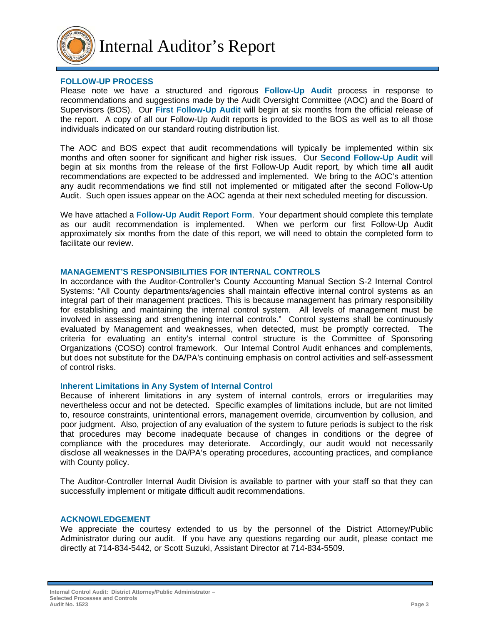![](_page_6_Picture_0.jpeg)

#### **FOLLOW-UP PROCESS**

Please note we have a structured and rigorous **Follow-Up Audit** process in response to recommendations and suggestions made by the Audit Oversight Committee (AOC) and the Board of Supervisors (BOS). Our **First Follow-Up Audit** will begin at six months from the official release of the report. A copy of all our Follow-Up Audit reports is provided to the BOS as well as to all those individuals indicated on our standard routing distribution list.

The AOC and BOS expect that audit recommendations will typically be implemented within six months and often sooner for significant and higher risk issues. Our **Second Follow-Up Audit** will begin at six months from the release of the first Follow-Up Audit report, by which time **all** audit recommendations are expected to be addressed and implemented. We bring to the AOC's attention any audit recommendations we find still not implemented or mitigated after the second Follow-Up Audit. Such open issues appear on the AOC agenda at their next scheduled meeting for discussion.

We have attached a **Follow-Up Audit Report Form**. Your department should complete this template as our audit recommendation is implemented. When we perform our first Follow-Up Audit approximately six months from the date of this report, we will need to obtain the completed form to facilitate our review.

#### **MANAGEMENT'S RESPONSIBILITIES FOR INTERNAL CONTROLS**

In accordance with the Auditor-Controller's County Accounting Manual Section S-2 Internal Control Systems: "All County departments/agencies shall maintain effective internal control systems as an integral part of their management practices. This is because management has primary responsibility for establishing and maintaining the internal control system. All levels of management must be involved in assessing and strengthening internal controls." Control systems shall be continuously evaluated by Management and weaknesses, when detected, must be promptly corrected. The criteria for evaluating an entity's internal control structure is the Committee of Sponsoring Organizations (COSO) control framework. Our Internal Control Audit enhances and complements, but does not substitute for the DA/PA's continuing emphasis on control activities and self-assessment of control risks.

# **Inherent Limitations in Any System of Internal Control**

Because of inherent limitations in any system of internal controls, errors or irregularities may nevertheless occur and not be detected. Specific examples of limitations include, but are not limited to, resource constraints, unintentional errors, management override, circumvention by collusion, and poor judgment. Also, projection of any evaluation of the system to future periods is subject to the risk that procedures may become inadequate because of changes in conditions or the degree of compliance with the procedures may deteriorate. Accordingly, our audit would not necessarily disclose all weaknesses in the DA/PA's operating procedures, accounting practices, and compliance with County policy.

The Auditor-Controller Internal Audit Division is available to partner with your staff so that they can successfully implement or mitigate difficult audit recommendations.

#### **ACKNOWLEDGEMENT**

We appreciate the courtesy extended to us by the personnel of the District Attorney/Public Administrator during our audit. If you have any questions regarding our audit, please contact me directly at 714-834-5442, or Scott Suzuki, Assistant Director at 714-834-5509.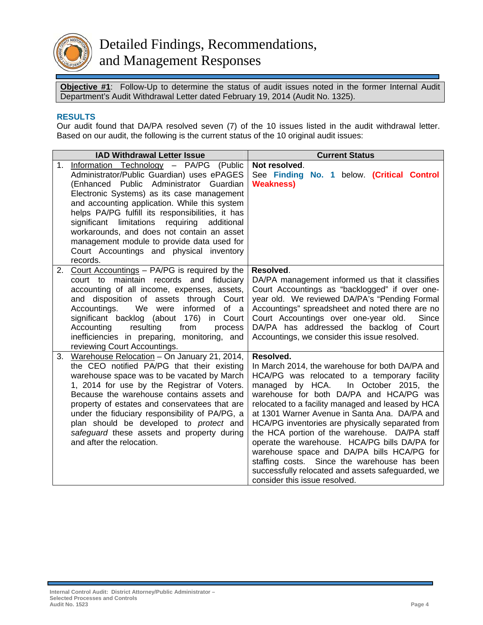![](_page_7_Picture_0.jpeg)

**Objective #1**:Follow-Up to determine the status of audit issues noted in the former Internal Audit Department's Audit Withdrawal Letter dated February 19, 2014 (Audit No. 1325).

# **RESULTS**

Our audit found that DA/PA resolved seven (7) of the 10 issues listed in the audit withdrawal letter. Based on our audit, the following is the current status of the 10 original audit issues:

|    | <b>IAD Withdrawal Letter Issue</b>                                                                                                                                                                                                                                                                                                                                                                                                                                                        | <b>Current Status</b>                                                                                                                                                                                                                                                                                                                                                                                                                                                                                                                                                                                                                              |
|----|-------------------------------------------------------------------------------------------------------------------------------------------------------------------------------------------------------------------------------------------------------------------------------------------------------------------------------------------------------------------------------------------------------------------------------------------------------------------------------------------|----------------------------------------------------------------------------------------------------------------------------------------------------------------------------------------------------------------------------------------------------------------------------------------------------------------------------------------------------------------------------------------------------------------------------------------------------------------------------------------------------------------------------------------------------------------------------------------------------------------------------------------------------|
| 1. | Information Technology - PA/PG (Public<br>Administrator/Public Guardian) uses ePAGES<br>(Enhanced Public Administrator Guardian<br>Electronic Systems) as its case management<br>and accounting application. While this system<br>helps PA/PG fulfill its responsibilities, it has<br>significant limitations requiring<br>additional<br>workarounds, and does not contain an asset<br>management module to provide data used for<br>Court Accountings and physical inventory<br>records. | Not resolved.<br>See Finding No. 1 below. (Critical Control<br><b>Weakness)</b>                                                                                                                                                                                                                                                                                                                                                                                                                                                                                                                                                                    |
|    | 2. Court Accountings - PA/PG is required by the<br>court to maintain records and fiduciary<br>accounting of all income, expenses, assets,<br>and disposition of assets through Court<br>We were informed<br>Accountings.<br>of a<br>significant backlog (about 176) in Court<br>Accounting<br>resulting<br>from<br>process<br>inefficiencies in preparing, monitoring, and<br>reviewing Court Accountings.                                                                                | Resolved.<br>DA/PA management informed us that it classifies<br>Court Accountings as "backlogged" if over one-<br>year old. We reviewed DA/PA's "Pending Formal<br>Accountings" spreadsheet and noted there are no<br>Court Accountings over one-year old.<br>Since<br>DA/PA has addressed the backlog of Court<br>Accountings, we consider this issue resolved.                                                                                                                                                                                                                                                                                   |
| 3. | Warehouse Relocation - On January 21, 2014,<br>the CEO notified PA/PG that their existing<br>warehouse space was to be vacated by March<br>1, 2014 for use by the Registrar of Voters.<br>Because the warehouse contains assets and<br>property of estates and conservatees that are<br>under the fiduciary responsibility of PA/PG, a<br>plan should be developed to protect and<br>safeguard these assets and property during<br>and after the relocation.                              | Resolved.<br>In March 2014, the warehouse for both DA/PA and<br>HCA/PG was relocated to a temporary facility<br>managed by HCA.<br>In October 2015, the<br>warehouse for both DA/PA and HCA/PG was<br>relocated to a facility managed and leased by HCA<br>at 1301 Warner Avenue in Santa Ana. DA/PA and<br>HCA/PG inventories are physically separated from<br>the HCA portion of the warehouse. DA/PA staff<br>operate the warehouse. HCA/PG bills DA/PA for<br>warehouse space and DA/PA bills HCA/PG for<br>staffing costs. Since the warehouse has been<br>successfully relocated and assets safeguarded, we<br>consider this issue resolved. |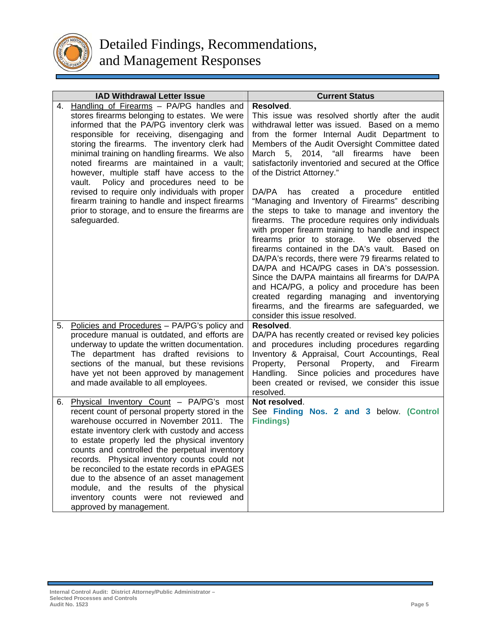![](_page_8_Picture_0.jpeg)

|    | <b>IAD Withdrawal Letter Issue</b>                                                                                                                                                                                                                                                                                                                                                                                                                                                                                                                       | <b>Current Status</b>                                                                                                                                                                                                                                                                                                                                                                                                                                                                                                                                                                                                                                                                                |
|----|----------------------------------------------------------------------------------------------------------------------------------------------------------------------------------------------------------------------------------------------------------------------------------------------------------------------------------------------------------------------------------------------------------------------------------------------------------------------------------------------------------------------------------------------------------|------------------------------------------------------------------------------------------------------------------------------------------------------------------------------------------------------------------------------------------------------------------------------------------------------------------------------------------------------------------------------------------------------------------------------------------------------------------------------------------------------------------------------------------------------------------------------------------------------------------------------------------------------------------------------------------------------|
|    | 4. Handling of Firearms - PA/PG handles and<br>stores firearms belonging to estates. We were<br>informed that the PA/PG inventory clerk was<br>responsible for receiving, disengaging and<br>storing the firearms. The inventory clerk had<br>minimal training on handling firearms. We also<br>noted firearms are maintained in a vault;<br>however, multiple staff have access to the<br>vault. Policy and procedures need to be<br>revised to require only individuals with proper                                                                    | Resolved.<br>This issue was resolved shortly after the audit<br>withdrawal letter was issued. Based on a memo<br>from the former Internal Audit Department to<br>Members of the Audit Oversight Committee dated<br>March 5, 2014, "all firearms have<br>been<br>satisfactorily inventoried and secured at the Office<br>of the District Attorney."                                                                                                                                                                                                                                                                                                                                                   |
|    | firearm training to handle and inspect firearms<br>prior to storage, and to ensure the firearms are<br>safeguarded.                                                                                                                                                                                                                                                                                                                                                                                                                                      | DA/PA<br>created a procedure entitled<br>has<br>"Managing and Inventory of Firearms" describing<br>the steps to take to manage and inventory the<br>firearms. The procedure requires only individuals<br>with proper firearm training to handle and inspect<br>firearms prior to storage. We observed the<br>firearms contained in the DA's vault. Based on<br>DA/PA's records, there were 79 firearms related to<br>DA/PA and HCA/PG cases in DA's possession.<br>Since the DA/PA maintains all firearms for DA/PA<br>and HCA/PG, a policy and procedure has been<br>created regarding managing and inventorying<br>firearms, and the firearms are safeguarded, we<br>consider this issue resolved. |
| 5. | Policies and Procedures - PA/PG's policy and<br>procedure manual is outdated, and efforts are<br>underway to update the written documentation.<br>The department has drafted revisions to<br>sections of the manual, but these revisions<br>have yet not been approved by management<br>and made available to all employees.                                                                                                                                                                                                                             | Resolved.<br>DA/PA has recently created or revised key policies<br>and procedures including procedures regarding<br>Inventory & Appraisal, Court Accountings, Real<br>Personal<br>Property,<br>Property,<br>and<br>Firearm<br>Handling. Since policies and procedures have<br>been created or revised, we consider this issue<br>resolved.                                                                                                                                                                                                                                                                                                                                                           |
| 6. | Physical Inventory Count - PA/PG's most<br>recent count of personal property stored in the<br>warehouse occurred in November 2011. The<br>estate inventory clerk with custody and access<br>to estate properly led the physical inventory<br>counts and controlled the perpetual inventory<br>records. Physical inventory counts could not<br>be reconciled to the estate records in ePAGES<br>due to the absence of an asset management<br>module, and the results of the physical<br>inventory counts were not reviewed and<br>approved by management. | Not resolved.<br>See Finding Nos. 2 and 3 below. (Control<br><b>Findings)</b>                                                                                                                                                                                                                                                                                                                                                                                                                                                                                                                                                                                                                        |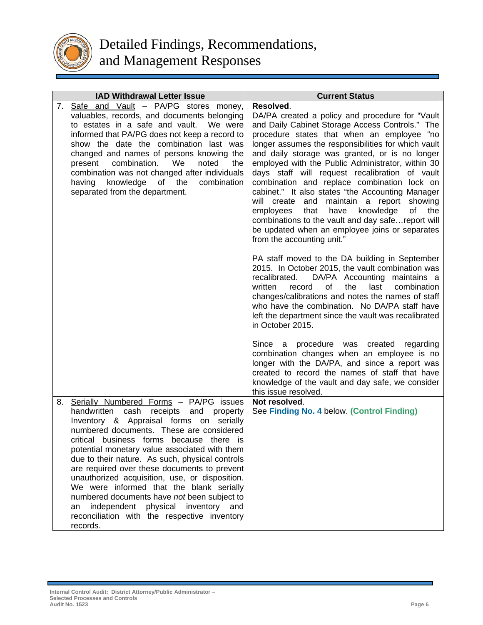![](_page_9_Picture_0.jpeg)

|    | <b>IAD Withdrawal Letter Issue</b>                                                                                                                                                                                                                                                                                                                                                                                                                              | <b>Current Status</b>                                                                                                                                                                                                                                                                                                                                                                                                                                                                                                                                                                                                                                                                                                                                                                                                                                                                                                                                                                                                                                                                                    |
|----|-----------------------------------------------------------------------------------------------------------------------------------------------------------------------------------------------------------------------------------------------------------------------------------------------------------------------------------------------------------------------------------------------------------------------------------------------------------------|----------------------------------------------------------------------------------------------------------------------------------------------------------------------------------------------------------------------------------------------------------------------------------------------------------------------------------------------------------------------------------------------------------------------------------------------------------------------------------------------------------------------------------------------------------------------------------------------------------------------------------------------------------------------------------------------------------------------------------------------------------------------------------------------------------------------------------------------------------------------------------------------------------------------------------------------------------------------------------------------------------------------------------------------------------------------------------------------------------|
|    | 7. Safe and Vault - PA/PG stores money,<br>valuables, records, and documents belonging<br>to estates in a safe and vault.<br>We were<br>informed that PA/PG does not keep a record to<br>show the date the combination last was<br>changed and names of persons knowing the<br>combination.<br>We<br>noted<br>present<br>the<br>combination was not changed after individuals<br>the<br>knowledge of<br>combination<br>having<br>separated from the department. | Resolved.<br>DA/PA created a policy and procedure for "Vault<br>and Daily Cabinet Storage Access Controls." The<br>procedure states that when an employee "no<br>longer assumes the responsibilities for which vault<br>and daily storage was granted, or is no longer<br>employed with the Public Administrator, within 30<br>days staff will request recalibration of vault<br>combination and replace combination lock on<br>cabinet." It also states "the Accounting Manager<br>will create and maintain a report showing<br>the<br>employees<br>that<br>have<br>knowledge<br>of<br>combinations to the vault and day safe report will<br>be updated when an employee joins or separates<br>from the accounting unit."<br>PA staff moved to the DA building in September<br>2015. In October 2015, the vault combination was<br>recalibrated.<br>DA/PA Accounting maintains a<br>of<br>the<br>last<br>combination<br>written<br>record<br>changes/calibrations and notes the names of staff<br>who have the combination. No DA/PA staff have<br>left the department since the vault was recalibrated |
| 8. | Serially Numbered Forms - PA/PG issues<br>handwritten<br>cash<br>receipts<br>and<br>property<br>Inventory & Appraisal forms on<br>serially<br>numbered documents. These are considered<br>critical business forms because there is<br>potential monetary value associated with them                                                                                                                                                                             | in October 2015.<br>Since a procedure was created regarding<br>combination changes when an employee is no<br>longer with the DA/PA, and since a report was<br>created to record the names of staff that have<br>knowledge of the vault and day safe, we consider<br>this issue resolved.<br>Not resolved.<br>See Finding No. 4 below. (Control Finding)                                                                                                                                                                                                                                                                                                                                                                                                                                                                                                                                                                                                                                                                                                                                                  |
|    | due to their nature. As such, physical controls<br>are required over these documents to prevent<br>unauthorized acquisition, use, or disposition.<br>We were informed that the blank serially<br>numbered documents have not been subject to<br>independent<br>physical inventory and<br>an<br>reconciliation with the respective inventory<br>records.                                                                                                         |                                                                                                                                                                                                                                                                                                                                                                                                                                                                                                                                                                                                                                                                                                                                                                                                                                                                                                                                                                                                                                                                                                          |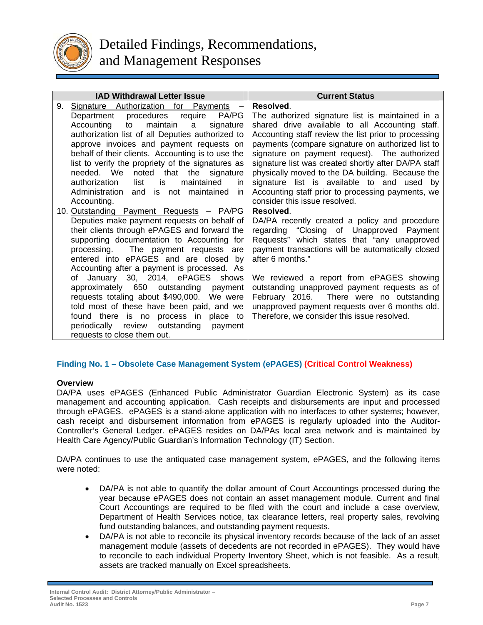![](_page_10_Picture_0.jpeg)

| <b>IAD Withdrawal Letter Issue</b>                                            | <b>Current Status</b>                                                                     |
|-------------------------------------------------------------------------------|-------------------------------------------------------------------------------------------|
| 9.<br>Signature Authorization for Payments<br>$\overline{\phantom{m}}$        | Resolved.                                                                                 |
| procedures require<br>PA/PG<br>Department                                     | The authorized signature list is maintained in a                                          |
| maintain<br>Accounting<br>to<br>signature<br>a                                | shared drive available to all Accounting staff.                                           |
| authorization list of all Deputies authorized to                              | Accounting staff review the list prior to processing                                      |
| approve invoices and payment requests on                                      | payments (compare signature on authorized list to                                         |
| behalf of their clients. Accounting is to use the                             | signature on payment request). The authorized                                             |
| list to verify the propriety of the signatures as                             | signature list was created shortly after DA/PA staff                                      |
| needed. We<br>noted that<br>the signature                                     | physically moved to the DA building. Because the                                          |
| authorization<br>list<br>maintained<br>is.<br>in.                             | signature list is available to and used by                                                |
| Administration<br>and is not maintained<br>in.                                | Accounting staff prior to processing payments, we                                         |
| Accounting.                                                                   | consider this issue resolved.                                                             |
| 10. Outstanding Payment Requests - PA/PG                                      | Resolved.                                                                                 |
| Deputies make payment requests on behalf of                                   | DA/PA recently created a policy and procedure                                             |
| their clients through ePAGES and forward the                                  | regarding "Closing of Unapproved Payment                                                  |
| supporting documentation to Accounting for                                    | Requests" which states that "any unapproved                                               |
| processing. The payment requests are                                          | payment transactions will be automatically closed                                         |
| entered into ePAGES and are closed by                                         | after 6 months."                                                                          |
| Accounting after a payment is processed. As                                   |                                                                                           |
| January 30, 2014, ePAGES shows<br>of<br>approximately 650 outstanding payment | We reviewed a report from ePAGES showing                                                  |
| requests totaling about \$490,000. We were                                    | outstanding unapproved payment requests as of<br>February 2016. There were no outstanding |
| told most of these have been paid, and we                                     | unapproved payment requests over 6 months old.                                            |
| found there is no process in place to                                         | Therefore, we consider this issue resolved.                                               |
| outstanding<br>periodically review<br>payment                                 |                                                                                           |
| requests to close them out.                                                   |                                                                                           |
|                                                                               |                                                                                           |

# **Finding No. 1 – Obsolete Case Management System (ePAGES) (Critical Control Weakness)**

#### **Overview**

DA/PA uses ePAGES (Enhanced Public Administrator Guardian Electronic System) as its case management and accounting application. Cash receipts and disbursements are input and processed through ePAGES. ePAGES is a stand-alone application with no interfaces to other systems; however, cash receipt and disbursement information from ePAGES is regularly uploaded into the Auditor-Controller's General Ledger. ePAGES resides on DA/PAs local area network and is maintained by Health Care Agency/Public Guardian's Information Technology (IT) Section.

DA/PA continues to use the antiquated case management system, ePAGES, and the following items were noted:

- DA/PA is not able to quantify the dollar amount of Court Accountings processed during the year because ePAGES does not contain an asset management module. Current and final Court Accountings are required to be filed with the court and include a case overview, Department of Health Services notice, tax clearance letters, real property sales, revolving fund outstanding balances, and outstanding payment requests.
- DA/PA is not able to reconcile its physical inventory records because of the lack of an asset management module (assets of decedents are not recorded in ePAGES). They would have to reconcile to each individual Property Inventory Sheet, which is not feasible. As a result, assets are tracked manually on Excel spreadsheets.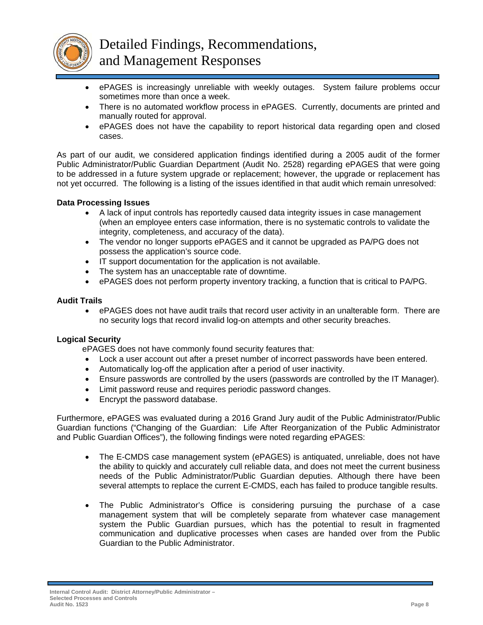![](_page_11_Picture_0.jpeg)

- ePAGES is increasingly unreliable with weekly outages. System failure problems occur sometimes more than once a week.
- There is no automated workflow process in ePAGES. Currently, documents are printed and manually routed for approval.
- ePAGES does not have the capability to report historical data regarding open and closed cases.

As part of our audit, we considered application findings identified during a 2005 audit of the former Public Administrator/Public Guardian Department (Audit No. 2528) regarding ePAGES that were going to be addressed in a future system upgrade or replacement; however, the upgrade or replacement has not yet occurred. The following is a listing of the issues identified in that audit which remain unresolved:

# **Data Processing Issues**

- A lack of input controls has reportedly caused data integrity issues in case management (when an employee enters case information, there is no systematic controls to validate the integrity, completeness, and accuracy of the data).
- The vendor no longer supports ePAGES and it cannot be upgraded as PA/PG does not possess the application's source code.
- IT support documentation for the application is not available.
- The system has an unacceptable rate of downtime.
- ePAGES does not perform property inventory tracking, a function that is critical to PA/PG.

# **Audit Trails**

 ePAGES does not have audit trails that record user activity in an unalterable form. There are no security logs that record invalid log-on attempts and other security breaches.

# **Logical Security**

ePAGES does not have commonly found security features that:

- Lock a user account out after a preset number of incorrect passwords have been entered.
- Automatically log-off the application after a period of user inactivity.
- Ensure passwords are controlled by the users (passwords are controlled by the IT Manager).
- Limit password reuse and requires periodic password changes.
- Encrypt the password database.

Furthermore, ePAGES was evaluated during a 2016 Grand Jury audit of the Public Administrator/Public Guardian functions ("Changing of the Guardian: Life After Reorganization of the Public Administrator and Public Guardian Offices"), the following findings were noted regarding ePAGES:

- The E-CMDS case management system (ePAGES) is antiquated, unreliable, does not have the ability to quickly and accurately cull reliable data, and does not meet the current business needs of the Public Administrator/Public Guardian deputies. Although there have been several attempts to replace the current E-CMDS, each has failed to produce tangible results.
- The Public Administrator's Office is considering pursuing the purchase of a case management system that will be completely separate from whatever case management system the Public Guardian pursues, which has the potential to result in fragmented communication and duplicative processes when cases are handed over from the Public Guardian to the Public Administrator.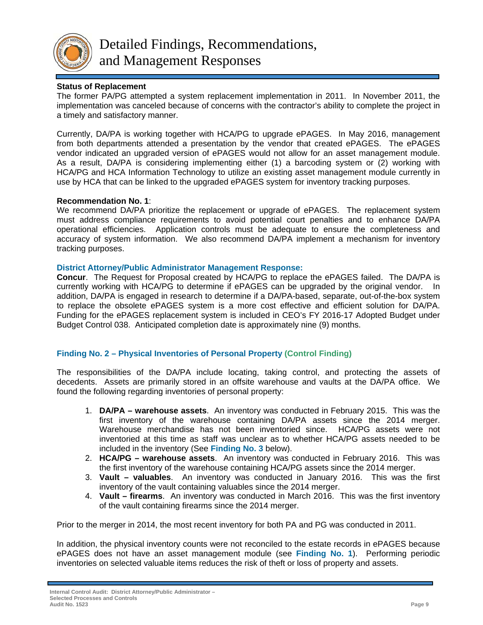![](_page_12_Picture_0.jpeg)

Detailed Findings, Recommendations, and Management Responses

# **Status of Replacement**

The former PA/PG attempted a system replacement implementation in 2011. In November 2011, the implementation was canceled because of concerns with the contractor's ability to complete the project in a timely and satisfactory manner.

Currently, DA/PA is working together with HCA/PG to upgrade ePAGES. In May 2016, management from both departments attended a presentation by the vendor that created ePAGES. The ePAGES vendor indicated an upgraded version of ePAGES would not allow for an asset management module. As a result, DA/PA is considering implementing either (1) a barcoding system or (2) working with HCA/PG and HCA Information Technology to utilize an existing asset management module currently in use by HCA that can be linked to the upgraded ePAGES system for inventory tracking purposes.

# **Recommendation No. 1**:

We recommend DA/PA prioritize the replacement or upgrade of ePAGES. The replacement system must address compliance requirements to avoid potential court penalties and to enhance DA/PA operational efficiencies. Application controls must be adequate to ensure the completeness and accuracy of system information. We also recommend DA/PA implement a mechanism for inventory tracking purposes.

#### **District Attorney/Public Administrator Management Response:**

**Concur**. The Request for Proposal created by HCA/PG to replace the ePAGES failed. The DA/PA is currently working with HCA/PG to determine if ePAGES can be upgraded by the original vendor. In addition, DA/PA is engaged in research to determine if a DA/PA-based, separate, out-of-the-box system to replace the obsolete ePAGES system is a more cost effective and efficient solution for DA/PA. Funding for the ePAGES replacement system is included in CEO's FY 2016-17 Adopted Budget under Budget Control 038. Anticipated completion date is approximately nine (9) months.

# **Finding No. 2 – Physical Inventories of Personal Property (Control Finding)**

The responsibilities of the DA/PA include locating, taking control, and protecting the assets of decedents. Assets are primarily stored in an offsite warehouse and vaults at the DA/PA office. We found the following regarding inventories of personal property:

- 1. **DA/PA warehouse assets**. An inventory was conducted in February 2015. This was the first inventory of the warehouse containing DA/PA assets since the 2014 merger. Warehouse merchandise has not been inventoried since. HCA/PG assets were not inventoried at this time as staff was unclear as to whether HCA/PG assets needed to be included in the inventory (See **Finding No. 3** below).
- 2. **HCA/PG warehouse assets**. An inventory was conducted in February 2016. This was the first inventory of the warehouse containing HCA/PG assets since the 2014 merger.
- 3. **Vault valuables**. An inventory was conducted in January 2016. This was the first inventory of the vault containing valuables since the 2014 merger.
- 4. **Vault firearms**. An inventory was conducted in March 2016. This was the first inventory of the vault containing firearms since the 2014 merger.

Prior to the merger in 2014, the most recent inventory for both PA and PG was conducted in 2011.

In addition, the physical inventory counts were not reconciled to the estate records in ePAGES because ePAGES does not have an asset management module (see **Finding No. 1**). Performing periodic inventories on selected valuable items reduces the risk of theft or loss of property and assets.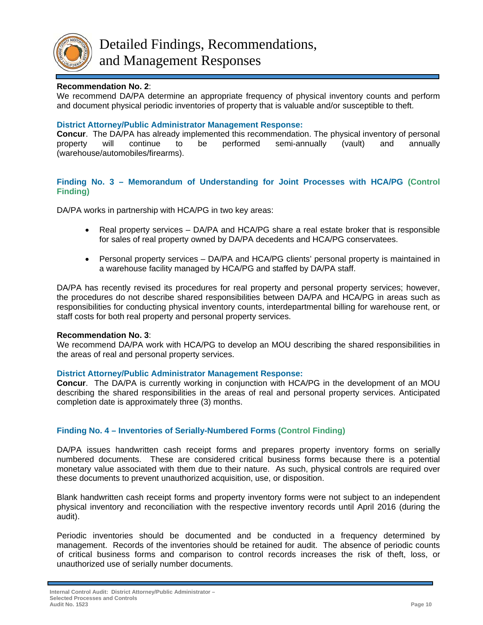![](_page_13_Picture_0.jpeg)

# **Recommendation No. 2**:

We recommend DA/PA determine an appropriate frequency of physical inventory counts and perform and document physical periodic inventories of property that is valuable and/or susceptible to theft.

#### **District Attorney/Public Administrator Management Response:**

**Concur**. The DA/PA has already implemented this recommendation. The physical inventory of personal property will continue to be performed semi-annually (vault) and annually (warehouse/automobiles/firearms).

# **Finding No. 3 – Memorandum of Understanding for Joint Processes with HCA/PG (Control Finding)**

DA/PA works in partnership with HCA/PG in two key areas:

- Real property services DA/PA and HCA/PG share a real estate broker that is responsible for sales of real property owned by DA/PA decedents and HCA/PG conservatees.
- Personal property services DA/PA and HCA/PG clients' personal property is maintained in a warehouse facility managed by HCA/PG and staffed by DA/PA staff.

DA/PA has recently revised its procedures for real property and personal property services; however, the procedures do not describe shared responsibilities between DA/PA and HCA/PG in areas such as responsibilities for conducting physical inventory counts, interdepartmental billing for warehouse rent, or staff costs for both real property and personal property services.

#### **Recommendation No. 3**:

We recommend DA/PA work with HCA/PG to develop an MOU describing the shared responsibilities in the areas of real and personal property services.

# **District Attorney/Public Administrator Management Response:**

**Concur**. The DA/PA is currently working in conjunction with HCA/PG in the development of an MOU describing the shared responsibilities in the areas of real and personal property services. Anticipated completion date is approximately three (3) months.

# **Finding No. 4 – Inventories of Serially-Numbered Forms (Control Finding)**

DA/PA issues handwritten cash receipt forms and prepares property inventory forms on serially numbered documents. These are considered critical business forms because there is a potential monetary value associated with them due to their nature. As such, physical controls are required over these documents to prevent unauthorized acquisition, use, or disposition.

Blank handwritten cash receipt forms and property inventory forms were not subject to an independent physical inventory and reconciliation with the respective inventory records until April 2016 (during the audit).

Periodic inventories should be documented and be conducted in a frequency determined by management. Records of the inventories should be retained for audit. The absence of periodic counts of critical business forms and comparison to control records increases the risk of theft, loss, or unauthorized use of serially number documents.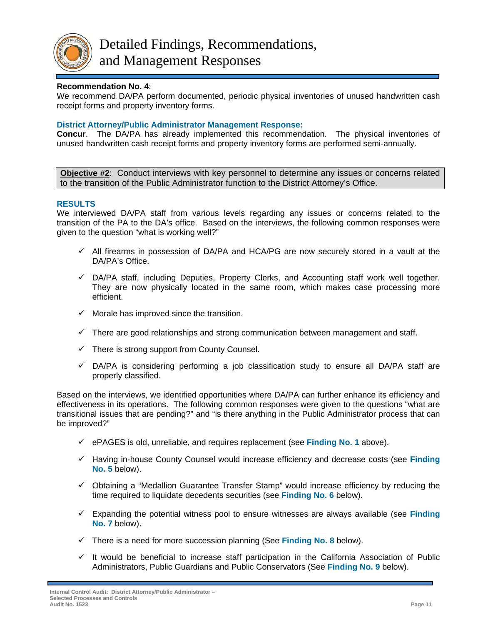![](_page_14_Picture_0.jpeg)

# **Recommendation No. 4**:

We recommend DA/PA perform documented, periodic physical inventories of unused handwritten cash receipt forms and property inventory forms.

# **District Attorney/Public Administrator Management Response:**

**Concur**. The DA/PA has already implemented this recommendation. The physical inventories of unused handwritten cash receipt forms and property inventory forms are performed semi-annually.

**Objective #2**:Conduct interviews with key personnel to determine any issues or concerns related to the transition of the Public Administrator function to the District Attorney's Office.

# **RESULTS**

We interviewed DA/PA staff from various levels regarding any issues or concerns related to the transition of the PA to the DA's office. Based on the interviews, the following common responses were given to the question "what is working well?"

- $\checkmark$  All firearms in possession of DA/PA and HCA/PG are now securely stored in a vault at the DA/PA's Office.
- $\checkmark$  DA/PA staff, including Deputies, Property Clerks, and Accounting staff work well together. They are now physically located in the same room, which makes case processing more efficient.
- $\checkmark$  Morale has improved since the transition.
- $\checkmark$  There are good relationships and strong communication between management and staff.
- $\checkmark$  There is strong support from County Counsel.
- $\checkmark$  DA/PA is considering performing a job classification study to ensure all DA/PA staff are properly classified.

Based on the interviews, we identified opportunities where DA/PA can further enhance its efficiency and effectiveness in its operations. The following common responses were given to the questions "what are transitional issues that are pending?" and "is there anything in the Public Administrator process that can be improved?"

- ePAGES is old, unreliable, and requires replacement (see **Finding No. 1** above).
- Having in-house County Counsel would increase efficiency and decrease costs (see **Finding No. 5** below).
- $\checkmark$  Obtaining a "Medallion Guarantee Transfer Stamp" would increase efficiency by reducing the time required to liquidate decedents securities (see **Finding No. 6** below).
- Expanding the potential witness pool to ensure witnesses are always available (see **Finding No. 7** below).
- $\checkmark$  There is a need for more succession planning (See **Finding No. 8** below).
- $\checkmark$  It would be beneficial to increase staff participation in the California Association of Public Administrators, Public Guardians and Public Conservators (See **Finding No. 9** below).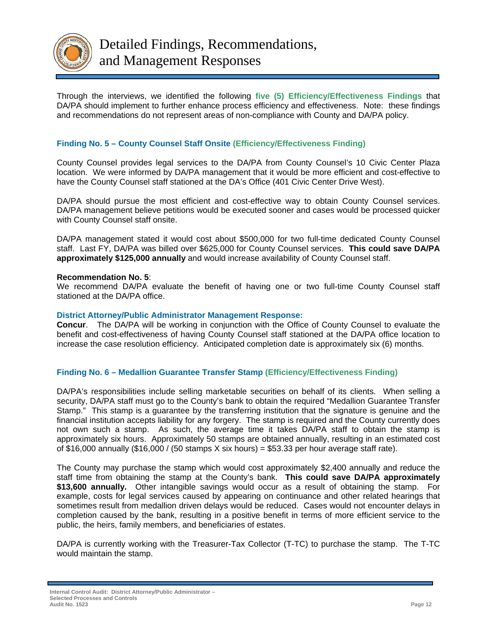![](_page_15_Picture_0.jpeg)

Through the interviews, we identified the following **five (5) Efficiency/Effectiveness Findings** that DA/PA should implement to further enhance process efficiency and effectiveness. Note: these findings and recommendations do not represent areas of non-compliance with County and DA/PA policy.

# **Finding No. 5 – County Counsel Staff Onsite (Efficiency/Effectiveness Finding)**

County Counsel provides legal services to the DA/PA from County Counsel's 10 Civic Center Plaza location. We were informed by DA/PA management that it would be more efficient and cost-effective to have the County Counsel staff stationed at the DA's Office (401 Civic Center Drive West).

DA/PA should pursue the most efficient and cost-effective way to obtain County Counsel services. DA/PA management believe petitions would be executed sooner and cases would be processed quicker with County Counsel staff onsite.

DA/PA management stated it would cost about \$500,000 for two full-time dedicated County Counsel staff. Last FY, DA/PA was billed over \$625,000 for County Counsel services. **This could save DA/PA approximately \$125,000 annually** and would increase availability of County Counsel staff.

#### **Recommendation No. 5**:

We recommend DA/PA evaluate the benefit of having one or two full-time County Counsel staff stationed at the DA/PA office.

#### **District Attorney/Public Administrator Management Response:**

**Concur**. The DA/PA will be working in conjunction with the Office of County Counsel to evaluate the benefit and cost-effectiveness of having County Counsel staff stationed at the DA/PA office location to increase the case resolution efficiency. Anticipated completion date is approximately six (6) months.

# **Finding No. 6 – Medallion Guarantee Transfer Stamp (Efficiency/Effectiveness Finding)**

DA/PA's responsibilities include selling marketable securities on behalf of its clients. When selling a security, DA/PA staff must go to the County's bank to obtain the required "Medallion Guarantee Transfer Stamp." This stamp is a guarantee by the transferring institution that the signature is genuine and the financial institution accepts liability for any forgery. The stamp is required and the County currently does not own such a stamp. As such, the average time it takes DA/PA staff to obtain the stamp is approximately six hours. Approximately 50 stamps are obtained annually, resulting in an estimated cost of \$16,000 annually (\$16,000 / (50 stamps  $X$  six hours) = \$53.33 per hour average staff rate).

The County may purchase the stamp which would cost approximately \$2,400 annually and reduce the staff time from obtaining the stamp at the County's bank. **This could save DA/PA approximately \$13,600 annually.** Other intangible savings would occur as a result of obtaining the stamp. For example, costs for legal services caused by appearing on continuance and other related hearings that sometimes result from medallion driven delays would be reduced. Cases would not encounter delays in completion caused by the bank, resulting in a positive benefit in terms of more efficient service to the public, the heirs, family members, and beneficiaries of estates.

DA/PA is currently working with the Treasurer-Tax Collector (T-TC) to purchase the stamp. The T-TC would maintain the stamp.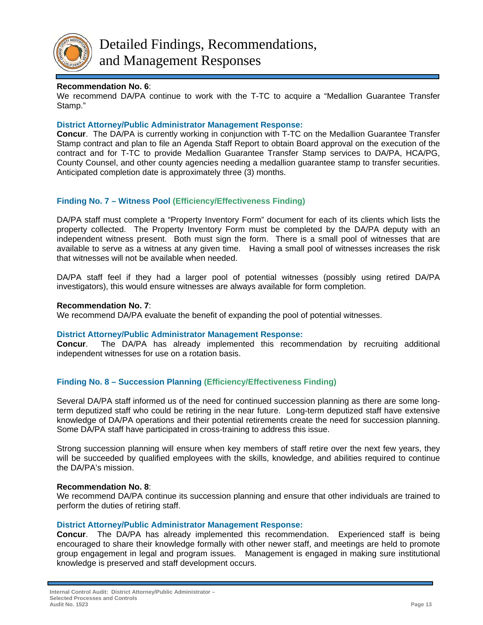![](_page_16_Picture_0.jpeg)

#### **Recommendation No. 6**:

We recommend DA/PA continue to work with the T-TC to acquire a "Medallion Guarantee Transfer Stamp."

#### **District Attorney/Public Administrator Management Response:**

**Concur**. The DA/PA is currently working in conjunction with T-TC on the Medallion Guarantee Transfer Stamp contract and plan to file an Agenda Staff Report to obtain Board approval on the execution of the contract and for T-TC to provide Medallion Guarantee Transfer Stamp services to DA/PA, HCA/PG, County Counsel, and other county agencies needing a medallion guarantee stamp to transfer securities. Anticipated completion date is approximately three (3) months.

# **Finding No. 7 – Witness Pool (Efficiency/Effectiveness Finding)**

DA/PA staff must complete a "Property Inventory Form" document for each of its clients which lists the property collected. The Property Inventory Form must be completed by the DA/PA deputy with an independent witness present. Both must sign the form. There is a small pool of witnesses that are available to serve as a witness at any given time. Having a small pool of witnesses increases the risk that witnesses will not be available when needed.

DA/PA staff feel if they had a larger pool of potential witnesses (possibly using retired DA/PA investigators), this would ensure witnesses are always available for form completion.

#### **Recommendation No. 7**:

We recommend DA/PA evaluate the benefit of expanding the pool of potential witnesses.

#### **District Attorney/Public Administrator Management Response:**

**Concur**. The DA/PA has already implemented this recommendation by recruiting additional independent witnesses for use on a rotation basis.

# **Finding No. 8 – Succession Planning (Efficiency/Effectiveness Finding)**

Several DA/PA staff informed us of the need for continued succession planning as there are some longterm deputized staff who could be retiring in the near future. Long-term deputized staff have extensive knowledge of DA/PA operations and their potential retirements create the need for succession planning. Some DA/PA staff have participated in cross-training to address this issue.

Strong succession planning will ensure when key members of staff retire over the next few years, they will be succeeded by qualified employees with the skills, knowledge, and abilities required to continue the DA/PA's mission.

#### **Recommendation No. 8**:

We recommend DA/PA continue its succession planning and ensure that other individuals are trained to perform the duties of retiring staff.

#### **District Attorney/Public Administrator Management Response:**

**Concur**. The DA/PA has already implemented this recommendation. Experienced staff is being encouraged to share their knowledge formally with other newer staff, and meetings are held to promote group engagement in legal and program issues. Management is engaged in making sure institutional knowledge is preserved and staff development occurs.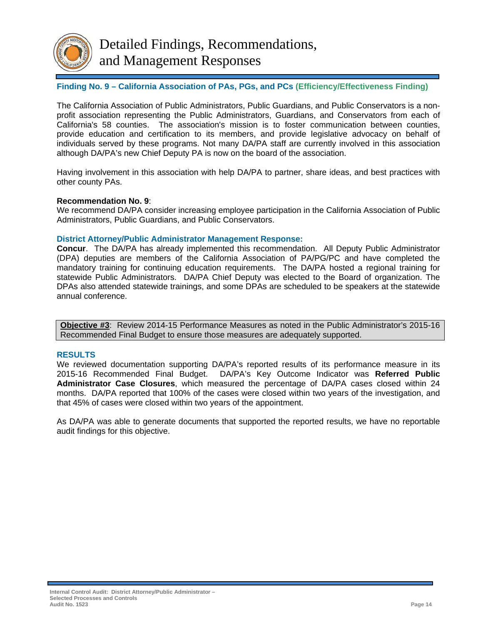![](_page_17_Picture_0.jpeg)

# **Finding No. 9 – California Association of PAs, PGs, and PCs (Efficiency/Effectiveness Finding)**

The California Association of Public Administrators, Public Guardians, and Public Conservators is a nonprofit association representing the Public Administrators, Guardians, and Conservators from each of California's 58 counties. The association's mission is to foster communication between counties, provide education and certification to its members, and provide legislative advocacy on behalf of individuals served by these programs. Not many DA/PA staff are currently involved in this association although DA/PA's new Chief Deputy PA is now on the board of the association.

Having involvement in this association with help DA/PA to partner, share ideas, and best practices with other county PAs.

#### **Recommendation No. 9**:

We recommend DA/PA consider increasing employee participation in the California Association of Public Administrators, Public Guardians, and Public Conservators.

#### **District Attorney/Public Administrator Management Response:**

**Concur**. The DA/PA has already implemented this recommendation. All Deputy Public Administrator (DPA) deputies are members of the California Association of PA/PG/PC and have completed the mandatory training for continuing education requirements. The DA/PA hosted a regional training for statewide Public Administrators. DA/PA Chief Deputy was elected to the Board of organization. The DPAs also attended statewide trainings, and some DPAs are scheduled to be speakers at the statewide annual conference.

**Objective #3**:Review 2014-15 Performance Measures as noted in the Public Administrator's 2015-16 Recommended Final Budget to ensure those measures are adequately supported.

#### **RESULTS**

We reviewed documentation supporting DA/PA's reported results of its performance measure in its 2015-16 Recommended Final Budget. DA/PA's Key Outcome Indicator was **Referred Public Administrator Case Closures**, which measured the percentage of DA/PA cases closed within 24 months. DA/PA reported that 100% of the cases were closed within two years of the investigation, and that 45% of cases were closed within two years of the appointment.

As DA/PA was able to generate documents that supported the reported results, we have no reportable audit findings for this objective.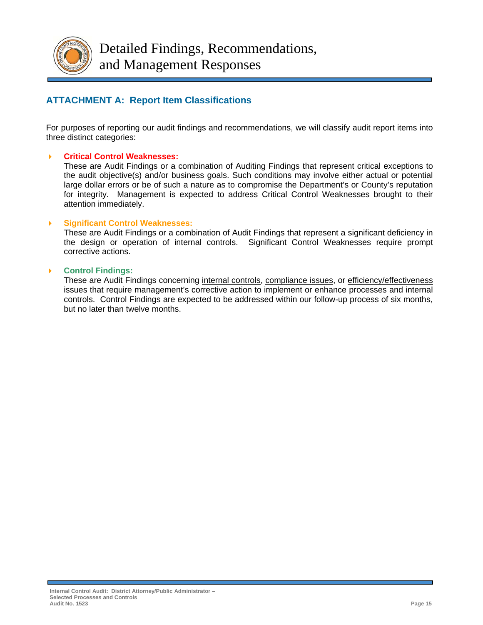![](_page_18_Picture_0.jpeg)

# **ATTACHMENT A: Report Item Classifications**

For purposes of reporting our audit findings and recommendations, we will classify audit report items into three distinct categories:

# **Critical Control Weaknesses:**

These are Audit Findings or a combination of Auditing Findings that represent critical exceptions to the audit objective(s) and/or business goals. Such conditions may involve either actual or potential large dollar errors or be of such a nature as to compromise the Department's or County's reputation for integrity. Management is expected to address Critical Control Weaknesses brought to their attention immediately.

# **Significant Control Weaknesses:**

These are Audit Findings or a combination of Audit Findings that represent a significant deficiency in the design or operation of internal controls. Significant Control Weaknesses require prompt corrective actions.

#### **Control Findings:**

These are Audit Findings concerning internal controls, compliance issues, or efficiency/effectiveness issues that require management's corrective action to implement or enhance processes and internal controls. Control Findings are expected to be addressed within our follow-up process of six months, but no later than twelve months.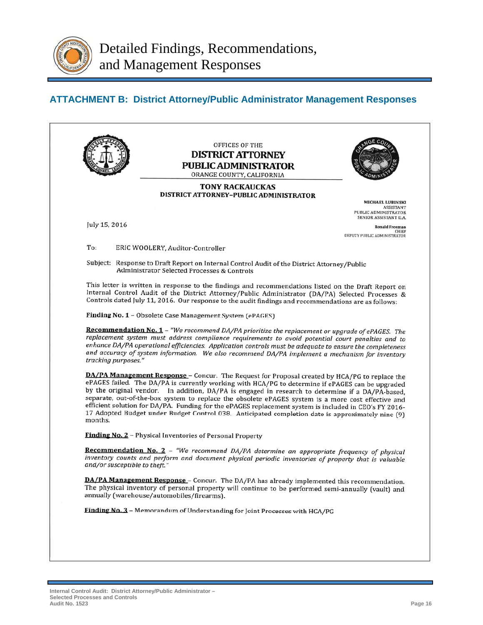![](_page_19_Picture_0.jpeg)

# **ATTACHMENT B: District Attorney/Public Administrator Management Responses**

![](_page_19_Picture_3.jpeg)

Finding No. 2 - Physical Inventories of Personal Property

Recommendation No. 2 - "We recommend DA/PA determine an appropriate frequency of physical inventory counts and perform and document physical periodic inventories of property that is valuable and/or susceptible to theft.

DA/PA Management Response - Concur. The DA/PA has already implemented this recommendation. The physical inventory of personal property will continue to be performed semi-annually (vault) and annually (warehouse/automobiles/firearms).

**Finding No. 3** - Memorandum of Understanding for Joint Processes with HCA/PG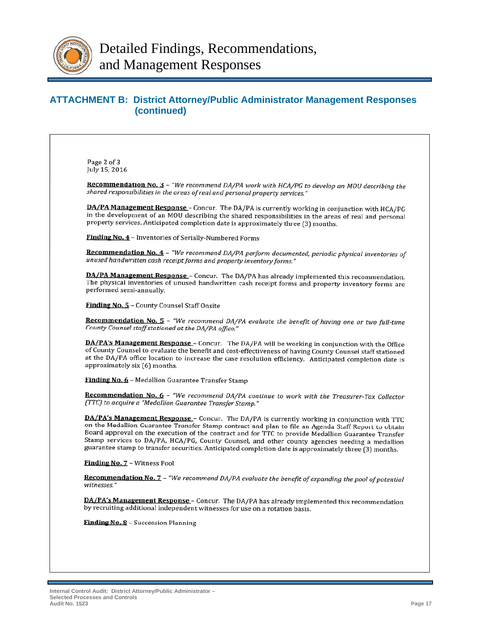![](_page_20_Picture_0.jpeg)

# **ATTACHMENT B: District Attorney/Public Administrator Management Responses (continued)**

Page 2 of 3 July 15, 2016

Recommendation No. 3 - "We recommend DA/PA work with HCA/PG to develop an MOU describing the shared responsibilities in the areas of real and personal property services."

DA/PA Management Response - Concur. The DA/PA is currently working in conjunction with HCA/PG in the development of an MOU describing the shared responsibilities in the areas of real and personal property services. Anticipated completion date is approximately three (3) months.

**Finding No. 4** - Inventories of Serially-Numbered Forms

Recommendation No. 4 - "We recommend DA/PA perform documented, periodic physical inventories of unused handwritten cash receipt forms and property inventory forms."

DA/PA Management Response - Concur. The DA/PA has already implemented this recommendation. The physical inventories of unused handwritten cash receipt forms and property inventory forms are performed semi-annually.

**Finding No. 5 - County Counsel Staff Onsite** 

Recommendation No. 5 - "We recommend DA/PA evaluate the benefit of having one or two full-time County Counsel staff stationed at the DA/PA office."

DA/PA's Management Response - Concur. The DA/PA will be working in conjunction with the Office of County Counsel to evaluate the benefit and cost-effectiveness of having County Counsel staff stationed at the DA/PA office location to increase the case resolution efficiency. Anticipated completion date is approximately six (6) months.

Finding No. 6 - Medallion Guarantee Transfer Stamp

Recommendation No. 6 - "We recommend DA/PA continue to work with the Treasurer-Tax Collector (TTC) to acquire a "Medallion Guarantee Transfer Stamp."

**DA/PA's Management Response** – Concur. The DA/PA is currently working in conjunction with TTC on the Medallion Guarantee Transfer Stamp contract and plan to file an Agenda Staff Report to obtain Board approval on the execution of the contract and for TTC to provide Medallion Guarantee Transfer Stamp services to DA/PA, HCA/PG, County Counsel, and other county agencies needing a medallion guarantee stamp to transfer securities. Anticipated completion date is approximately three (3) months.

Finding No. 7 - Witness Pool

Recommendation No. 7 - "We recommend DA/PA evaluate the benefit of expanding the pool of potential witnesses.'

DA/PA's Management Response - Concur. The DA/PA has already implemented this recommendation by recruiting additional independent witnesses for use on a rotation basis.

Finding No. 8 - Succession Planning